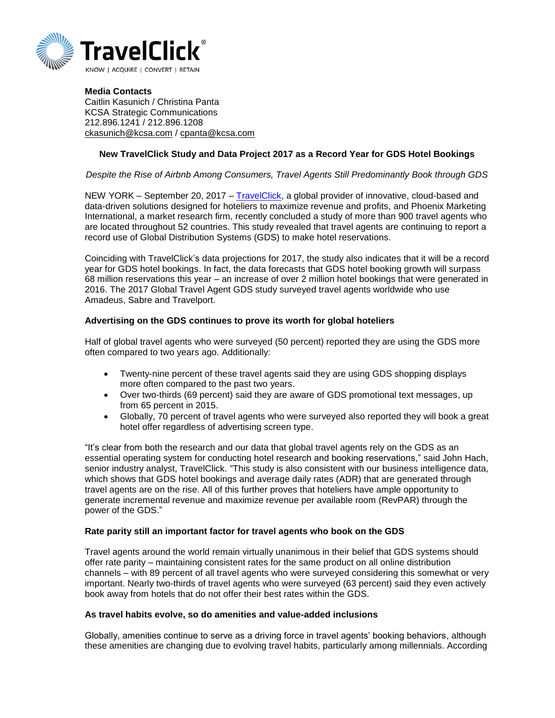

**Media Contacts** Caitlin Kasunich / Christina Panta KCSA Strategic Communications 212.896.1241 / 212.896.1208 [ckasunich@kcsa.com](mailto:ckasunich@kcsa.com) / [cpanta@kcsa.com](mailto:cpanta@kcsa.com)

# **New TravelClick Study and Data Project 2017 as a Record Year for GDS Hotel Bookings**

### *Despite the Rise of Airbnb Among Consumers, Travel Agents Still Predominantly Book through GDS*

NEW YORK – September 20, 2017 – [TravelClick,](http://www.travelclick.com/) a global provider of innovative, cloud-based and data-driven solutions designed for hoteliers to maximize revenue and profits, and Phoenix Marketing International, a market research firm, recently concluded a study of more than 900 travel agents who are located throughout 52 countries. This study revealed that travel agents are continuing to report a record use of Global Distribution Systems (GDS) to make hotel reservations.

Coinciding with TravelClick's data projections for 2017, the study also indicates that it will be a record year for GDS hotel bookings. In fact, the data forecasts that GDS hotel booking growth will surpass 68 million reservations this year – an increase of over 2 million hotel bookings that were generated in 2016. The 2017 Global Travel Agent GDS study surveyed travel agents worldwide who use Amadeus, Sabre and Travelport.

### **Advertising on the GDS continues to prove its worth for global hoteliers**

Half of global travel agents who were surveyed (50 percent) reported they are using the GDS more often compared to two years ago. Additionally:

- Twenty-nine percent of these travel agents said they are using GDS shopping displays more often compared to the past two years.
- Over two-thirds (69 percent) said they are aware of GDS promotional text messages, up from 65 percent in 2015.
- Globally, 70 percent of travel agents who were surveyed also reported they will book a great hotel offer regardless of advertising screen type.

"It's clear from both the research and our data that global travel agents rely on the GDS as an essential operating system for conducting hotel research and booking reservations," said John Hach, senior industry analyst, TravelClick. "This study is also consistent with our business intelligence data, which shows that GDS hotel bookings and average daily rates (ADR) that are generated through travel agents are on the rise. All of this further proves that hoteliers have ample opportunity to generate incremental revenue and maximize revenue per available room (RevPAR) through the power of the GDS."

#### **Rate parity still an important factor for travel agents who book on the GDS**

Travel agents around the world remain virtually unanimous in their belief that GDS systems should offer rate parity – maintaining consistent rates for the same product on all online distribution channels – with 89 percent of all travel agents who were surveyed considering this somewhat or very important. Nearly two-thirds of travel agents who were surveyed (63 percent) said they even actively book away from hotels that do not offer their best rates within the GDS.

#### **As travel habits evolve, so do amenities and value-added inclusions**

Globally, amenities continue to serve as a driving force in travel agents' booking behaviors, although these amenities are changing due to evolving travel habits, particularly among millennials. According